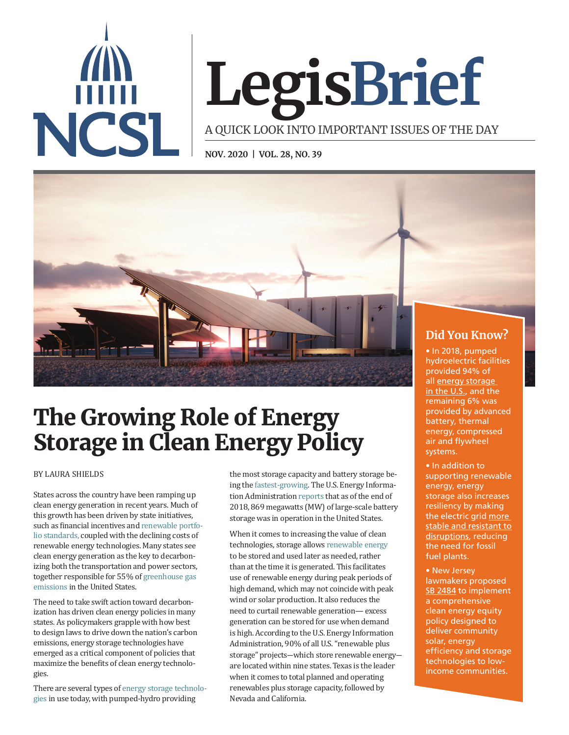

# **LegisBrief**

A QUICK LOOK INTO IMPORTANT ISSUES OF THE DAY

**NOV. 2020 | VOL. 28, NO. 39**



# The Growing Role of Energy Storage in Clean Energy Policy

#### BY LAURA SHIELDS

States across the country have been ramping up clean energy generation in recent years. Much of this growth has been driven by state initiatives, such as financial incentives and [renewable portfo](https://www.ncsl.org/research/energy/renewable-portfolio-standards.aspx)[lio standards,](https://www.ncsl.org/research/energy/renewable-portfolio-standards.aspx) coupled with the declining costs of renewable energy technologies. Many states see clean energy generation as the key to decarbonizing both the transportation and power sectors, together responsible for 55% of [greenhouse gas](https://www.epa.gov/ghgemissions/inventory-us-greenhouse-gas-emissions-and-sinks)  [emissions](https://www.epa.gov/ghgemissions/inventory-us-greenhouse-gas-emissions-and-sinks) in the United States.

The need to take swift action toward decarbonization has driven clean energy policies in many states. As policymakers grapple with how best to design laws to drive down the nation's carbon emissions, energy storage technologies have emerged as a critical component of policies that maximize the benefits of clean energy technologies.

There are several types of [energy storage technolo](http://css.umich.edu/factsheets/us-grid-energy-storage-factsheet#:~:text=1%2C355%20energy%20storage%20projects%20were,are%20located%20in%20the%20U.S.&text=California%20leads%20the%20U.S.%20in,%2C%20New%20York%2C%20and%20Texas)[gies](http://css.umich.edu/factsheets/us-grid-energy-storage-factsheet#:~:text=1%2C355%20energy%20storage%20projects%20were,are%20located%20in%20the%20U.S.&text=California%20leads%20the%20U.S.%20in,%2C%20New%20York%2C%20and%20Texas) in use today, with pumped-hydro providing

the most storage capacity and battery storage being the [fastest-growing.](http://css.umich.edu/factsheets/us-grid-energy-storage-factsheet) The U.S. Energy Information Administration [reports](https://www.eia.gov/analysis/studies/electricity/batterystorage/) that as of the end of 2018, 869 megawatts (MW) of large-scale battery storage was in operation in the United States.

When it comes to increasing the value of clean technologies, storage allows [renewable energy](https://www.eia.gov/todayinenergy/detail.php?id=43775) to be stored and used later as needed, rather than at the time it is generated. This facilitates use of renewable energy during peak periods of high demand, which may not coincide with peak wind or solar production. It also reduces the need to curtail renewable generation— excess generation can be stored for use when demand is high. According to the U.S. Energy Information Administration, 90% of all U.S. "renewable plus storage" projects―which store renewable energy― are located within nine states. Texas is the leader when it comes to total planned and operating renewables plus storage capacity, followed by Nevada and California.

[in the U.S.,](https://www.epa.gov/energy/electricity-storage#storage ) and the remaining 6% was provided by advanced battery, thermal energy, compressed air and flywheel systems.

• In addition to supporting renewable energy, energy storage also increases resiliency by making the electric grid [more](https://www.energy.gov/articles/energy-storage-key-reliable-clean-electricity-supply)  stable and resistant to [disruptions,](https://www.energy.gov/articles/energy-storage-key-reliable-clean-electricity-supply) reducing the need for fossil fuel plants.

• New Jersey lawmakers proposed [SB 2484](https://www.njleg.state.nj.us/2020/Bills/S2500/2484_I1.PDF) to implement a comprehensive clean energy equity policy designed to deliver community solar, energy efficiency and storage technologies to lowincome communities.